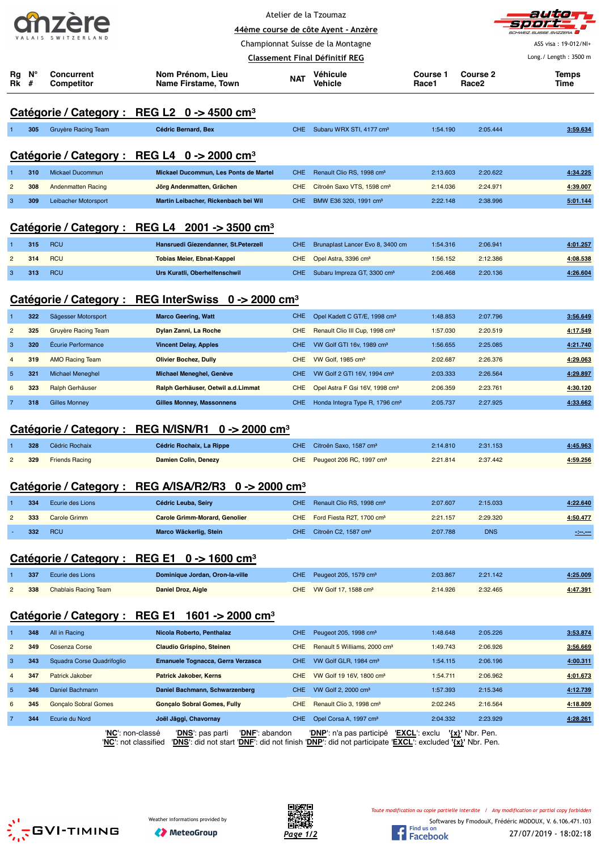| <b>ALLE</b>        |  |  |  |  |  |  |
|--------------------|--|--|--|--|--|--|
| VALAIS SWITZERLAND |  |  |  |  |  |  |

**Concurrent**

Atelier de la Tzoumaz



**44ème course de côte Ayent - Anzère** Championnat Suisse de la Montagne

**Véhicule**

**Course 1**

**Course 2**

**Classement Final Définitif REG**

**Nom Prénom, Lieu**

| Rg<br><b>Rk</b> #       | N°  | <b>Concurrent</b><br><b>Competitor</b> | Nom Prénom, Lieu<br>Name Firstame, Town                            | <b>NAT</b> | Véhicule<br>Vehicle                        | Course 1<br>Race1 | <b>Course 2</b><br>Race2 | <b>Temps</b><br>Time |
|-------------------------|-----|----------------------------------------|--------------------------------------------------------------------|------------|--------------------------------------------|-------------------|--------------------------|----------------------|
|                         |     |                                        | Catégorie / Category : REG L2 $0 \rightarrow 4500$ cm <sup>3</sup> |            |                                            |                   |                          |                      |
| 1                       | 305 | Gruyère Racing Team                    | Cédric Bernard, Bex                                                | CHE.       | Subaru WRX STI, 4177 cm <sup>3</sup>       | 1:54.190          | 2:05.444                 | 3:59.634             |
|                         |     |                                        |                                                                    |            |                                            |                   |                          |                      |
|                         |     |                                        | Catégorie / Category : REG L4 0 -> 2000 cm <sup>3</sup>            |            |                                            |                   |                          |                      |
|                         | 310 | Mickael Ducommun                       | Mickael Ducommun, Les Ponts de Martel                              | <b>CHE</b> | Renault Clio RS, 1998 cm <sup>3</sup>      | 2:13.603          | 2:20.622                 | 4:34.225             |
| $\overline{c}$          | 308 | <b>Andenmatten Racing</b>              | Jörg Andenmatten, Grächen                                          | <b>CHE</b> | Citroën Saxo VTS, 1598 cm <sup>3</sup>     | 2:14.036          | 2:24.971                 | 4:39.007             |
| 3                       | 309 | Leibacher Motorsport                   | Martin Leibacher, Rickenbach bei Wil                               | CHE        | BMW E36 320i, 1991 cm <sup>3</sup>         | 2:22.148          | 2:38.996                 | 5:01.144             |
|                         |     |                                        | Catégorie / Category : REG L4 2001 -> 3500 cm <sup>3</sup>         |            |                                            |                   |                          |                      |
| 1                       | 315 | <b>RCU</b>                             | Hansruedi Giezendanner, St.Peterzell                               | <b>CHE</b> | Brunaplast Lancer Evo 8, 3400 cm           | 1:54.316          | 2:06.941                 | 4:01.257             |
| $\overline{c}$          | 314 | <b>RCU</b>                             | <b>Tobias Meier, Ebnat-Kappel</b>                                  | <b>CHE</b> | Opel Astra, 3396 cm <sup>3</sup>           | 1:56.152          | 2:12.386                 | 4:08.538             |
| 3                       | 313 | <b>RCU</b>                             | Urs Kuratli, Oberhelfenschwil                                      | <b>CHE</b> | Subaru Impreza GT, 3300 cm <sup>3</sup>    | 2:06.468          | 2:20.136                 | 4:26.604             |
|                         |     |                                        |                                                                    |            |                                            |                   |                          |                      |
|                         |     |                                        | Catégorie / Category : REG InterSwiss 0 -> 2000 cm <sup>3</sup>    |            |                                            |                   |                          |                      |
|                         | 322 | Sägesser Motorsport                    | <b>Marco Geering, Watt</b>                                         | <b>CHE</b> | Opel Kadett C GT/E, 1998 cm <sup>3</sup>   | 1:48.853          | 2:07.796                 | 3:56.649             |
| $\overline{c}$          | 325 | Gruyère Racing Team                    | Dylan Zanni, La Roche                                              | <b>CHE</b> | Renault Clio III Cup, 1998 cm <sup>3</sup> | 1:57.030          | 2:20.519                 | 4:17.549             |
| 3                       | 320 | <b>Écurie Performance</b>              | <b>Vincent Delay, Apples</b>                                       | <b>CHE</b> | VW Golf GTI 16v, 1989 cm <sup>3</sup>      | 1:56.655          | 2:25.085                 | 4:21.740             |
| $\overline{4}$          | 319 | <b>AMO Racing Team</b>                 | <b>Olivier Bochez, Dully</b>                                       | <b>CHE</b> | VW Golf, 1985 cm <sup>3</sup>              | 2:02.687          | 2:26.376                 | 4:29.063             |
| $\sqrt{5}$              | 321 | Michael Meneghel                       | Michael Meneghel, Genève                                           | <b>CHE</b> | VW Golf 2 GTI 16V, 1994 cm <sup>3</sup>    | 2:03.333          | 2:26.564                 | 4:29.897             |
| 6                       | 323 | Ralph Gerhäuser                        | Ralph Gerhäuser, Oetwil a.d.Limmat                                 | CHE        | Opel Astra F Gsi 16V, 1998 cm <sup>3</sup> | 2:06.359          | 2:23.761                 | 4:30.120             |
| $\overline{7}$          | 318 | <b>Gilles Monney</b>                   | <b>Gilles Monney, Massonnens</b>                                   | <b>CHE</b> | Honda Integra Type R, 1796 cm <sup>3</sup> | 2:05.737          | 2:27.925                 | 4:33.662             |
|                         |     | Catégorie / Category : REG N/ISN/R1    | 0 -> 2000 cm <sup>3</sup>                                          |            |                                            |                   |                          |                      |
|                         | 328 | Cédric Rochaix                         | Cédric Rochaix, La Rippe                                           | <b>CHE</b> | Citroën Saxo, 1587 cm <sup>3</sup>         | 2:14.810          | 2:31.153                 | 4:45.963             |
| $\overline{\mathbf{c}}$ | 329 | <b>Friends Racing</b>                  | <b>Damien Colin, Denezy</b>                                        | <b>CHE</b> | Peugeot 206 RC, 1997 cm <sup>3</sup>       | 2:21.814          | 2:37.442                 | 4:59.256             |
|                         |     |                                        | Catégorie / Category : REG A/ISA/R2/R3 0 -> 2000 cm <sup>3</sup>   |            |                                            |                   |                          |                      |
|                         | 334 | Ecurie des Lions                       | Cédric Leuba, Seiry                                                | <b>CHE</b> | Renault Clio RS, 1998 cm <sup>3</sup>      | 2:07.607          | 2:15.033                 | 4:22.640             |
| 2                       | 333 | <b>Carole Grimm</b>                    | <b>Carole Grimm-Morard, Genolier</b>                               | <b>CHE</b> | Ford Fiesta R2T, 1700 cm <sup>3</sup>      | 2:21.157          | 2:29.320                 | 4:50.477             |
|                         | 332 | <b>RCU</b>                             | Marco Wäckerlig, Stein                                             | CHE.       | Citroën C2, 1587 cm <sup>3</sup>           | 2:07.788          | <b>DNS</b>               | $-200$               |
|                         |     |                                        | Catégorie / Category : REG E1 0 -> 1600 cm <sup>3</sup>            |            |                                            |                   |                          |                      |
|                         | 337 | Ecurie des Lions                       | Dominique Jordan, Oron-la-ville                                    | <b>CHE</b> | Peugeot 205, 1579 cm <sup>3</sup>          | 2:03.867          | 2:21.142                 | 4:25.009             |
| $\overline{c}$          | 338 | <b>Chablais Racing Team</b>            | Daniel Droz, Aigle                                                 | <b>CHE</b> | VW Golf 17, 1588 cm <sup>3</sup>           | 2:14.926          | 2:32.465                 | 4:47.391             |
|                         |     | Catégorie / Category: REG E1           | 1601 -> 2000 cm <sup>3</sup>                                       |            |                                            |                   |                          |                      |
|                         | 348 | All in Racing                          | Nicola Roberto, Penthalaz                                          | <b>CHE</b> | Peugeot 205, 1998 cm <sup>3</sup>          | 1:48.648          | 2:05.226                 | 3:53.874             |
| $\overline{c}$          | 349 | <b>Cosenza Corse</b>                   | <b>Claudio Grispino, Steinen</b>                                   | <b>CHE</b> | Renault 5 Williams, 2000 cm <sup>3</sup>   | 1:49.743          | 2:06.926                 | 3:56.669             |
| 3                       | 343 | Squadra Corse Quadrifoglio             | Emanuele Tognacca, Gerra Verzasca                                  | <b>CHE</b> | VW Golf GLR, 1984 cm <sup>3</sup>          | 1:54.115          | 2:06.196                 | 4:00.311             |
| $\overline{4}$          | 347 | Patrick Jakober                        | <b>Patrick Jakober, Kerns</b>                                      | <b>CHE</b> | VW Golf 19 16V, 1800 cm <sup>3</sup>       | 1:54.711          | 2:06.962                 | 4:01.673             |
| 5                       | 346 | Daniel Bachmann                        | Daniel Bachmann, Schwarzenberg                                     | <b>CHE</b> | VW Golf 2, 2000 cm <sup>3</sup>            | 1:57.393          | 2:15.346                 | 4.12.739             |
| 6                       | 345 | <b>Gonçalo Sobral Gomes</b>            | <b>Gonçalo Sobral Gomes, Fully</b>                                 | <b>CHE</b> | Renault Clio 3, 1998 cm <sup>3</sup>       | 2:02.245          | 2:16.564                 | 4:18.809             |
| 7                       | 344 | Ecurie du Nord                         | Joël Jäggi, Chavornay                                              | CHE        | Opel Corsa A, 1997 cm <sup>3</sup>         | 2:04.332          | 2:23.929                 | 4:28.261             |
|                         |     | ' <mark>NC</mark> ': non-classé        | 'DNS': pas parti<br>'DNE': abandon                                 |            | 'DNP': n'a pas participé 'EXCL': exclu     |                   | $\{x\}$ ' Nbr. Pen.      |                      |

'**NC**': not classified '**DNS**': did not start '**DNF**': did not finish '**DNP**': did not participate '**EXCL**': excluded **'{x}'** Nbr. Pen.





*Toute modification ou copie partielle interdite / Any modification or partial copy forbidden*



ASS visa : 19-012/NI+ Long./ Length : 3500 m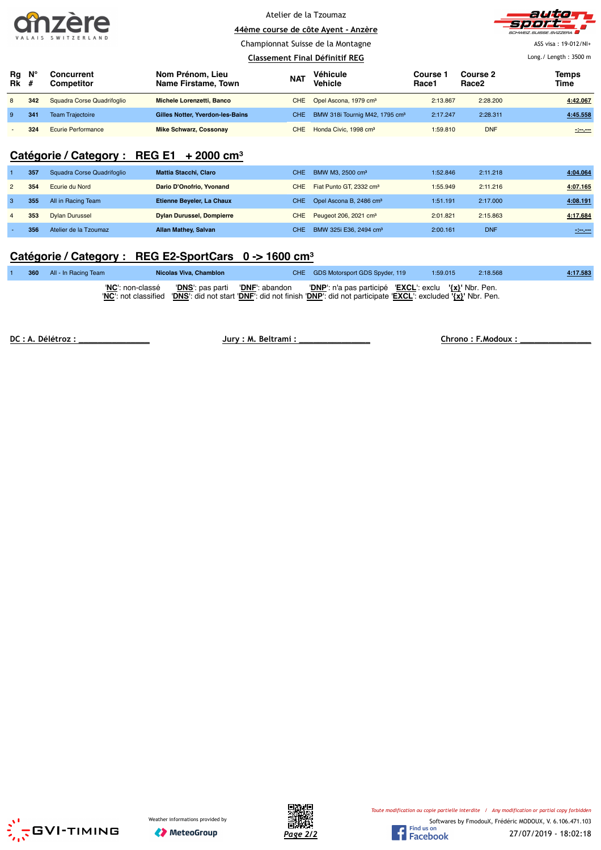| TO 7               |  |  |  |  |  |  |
|--------------------|--|--|--|--|--|--|
| VALAIS SWITZERLAND |  |  |  |  |  |  |

Championnat Suisse de la Montagne



ASS visa : 19-012/NI+

#### Long./ Length : 3500 m

|                   |     |                            |                                         |                  | Classement Final Définitif REG             |                   |                               | Long./ Length: $3500$ m |
|-------------------|-----|----------------------------|-----------------------------------------|------------------|--------------------------------------------|-------------------|-------------------------------|-------------------------|
| Rg<br><b>Rk</b> # | N°  | Concurrent<br>Competitor   | Nom Prénom, Lieu<br>Name Firstame, Town | <b>NAT</b>       | Véhicule<br>Vehicle                        | Course 1<br>Race1 | Course 2<br>Race <sub>2</sub> | <b>Temps</b><br>Time    |
| 8                 | 342 | Squadra Corse Quadrifoqlio | Michele Lorenzetti, Banco               |                  | CHE Opel Ascona, 1979 cm <sup>3</sup>      | 2:13.867          | 2:28.200                      | 4:42.067                |
| 9                 | 341 | <b>Team Trajectoire</b>    | Gilles Notter, Yverdon-les-Bains        | CHE <sup>1</sup> | BMW 318i Tournig M42, 1795 cm <sup>3</sup> | 2:17.247          | 2:28.311                      | 4:45.558                |
|                   | 324 | <b>Ecurie Performance</b>  | <b>Mike Schwarz, Cossonay</b>           | CHE              | Honda Civic, 1998 cm <sup>3</sup>          | 1:59.810          | <b>DNF</b>                    | $-2$                    |

### **Catégorie / Category : REG E1 + 2000 cm³**

|                | 357 | Squadra Corse Quadrifoglio | <b>Mattia Stacchi, Claro</b>     | CHE.       | BMW M3, 2500 cm <sup>3</sup>        | 1:52.846 | 2:11.218   | 4.04.064         |
|----------------|-----|----------------------------|----------------------------------|------------|-------------------------------------|----------|------------|------------------|
| $\overline{2}$ | 354 | Ecurie du Nord             | Dario D'Onofrio, Yvonand         | CHE        | Fiat Punto GT, 2332 cm <sup>3</sup> | 1:55.949 | 2:11.216   | 4:07.165         |
| 3              | 355 | All in Racing Team         | Etienne Beyeler, La Chaux        | CHE        | Opel Ascona B, 2486 cm <sup>3</sup> | 1:51.191 | 2:17.000   | 4:08.191         |
|                | 353 | <b>Dylan Durussel</b>      | <b>Dylan Durussel, Dompierre</b> | <b>CHE</b> | Peugeot 206, 2021 cm <sup>3</sup>   | 2:01.821 | 2:15.863   | 4:17.684         |
|                | 356 | Atelier de la Tzoumaz      | <b>Allan Mathey, Salvan</b>      | CHE.       | BMW 325i E36, 2494 cm <sup>3</sup>  | 2:00.161 | <b>DNF</b> | $-1 - 1 - 1 = 0$ |

# **Catégorie / Category : REG E2-SportCars 0 -> 1600 cm³**

|  | 360 All - In Racing Team | Nicolas Viva, Chamblon | CHE GDS Motorsport GDS Spyder, 119                                                                                                                                                                                    | 1:59.015 | 2:18.568 | 4:17.583 |
|--|--------------------------|------------------------|-----------------------------------------------------------------------------------------------------------------------------------------------------------------------------------------------------------------------|----------|----------|----------|
|  | 'NC': non-classé         |                        | 'DNS': pas parti 'DNF': abandon 'DNP': n'a pas participé 'EXCL': exclu '{x}' Nbr. Pen.<br>'NC': not classified 'DNS': did not start 'DNF': did not finish 'DNP': did not participate 'EXCL': excluded '{x}' Nbr. Pen. |          |          |          |

**DC : A. Délétroz : \_\_\_\_\_\_\_\_\_\_\_\_\_\_\_ Jury : M. Beltrami : \_\_\_\_\_\_\_\_\_\_\_\_\_\_\_ Chrono : F.Modoux : \_\_\_\_\_\_\_\_\_\_\_\_\_\_\_**





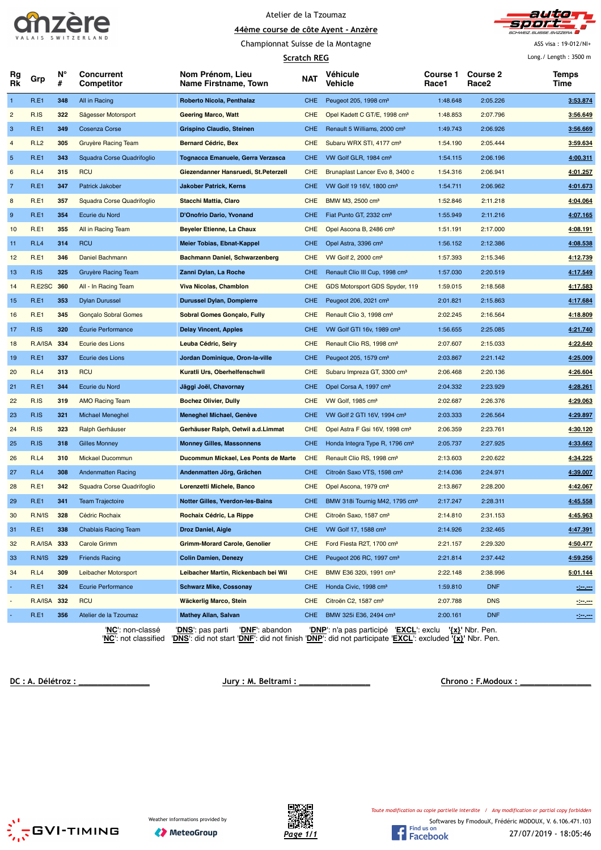



Championnat Suisse de la Montagne

**Scratch REG**

ASS visa : 19-012/NI+ Long./ Length : 3500 m

|                |             |         |                                 |                                             | <b>SCratch REG</b> |                                                        |                   |                                      | LUIS' LEIRTH ' JJON III |
|----------------|-------------|---------|---------------------------------|---------------------------------------------|--------------------|--------------------------------------------------------|-------------------|--------------------------------------|-------------------------|
| Rg<br>Rk       | Grp         | N°<br># | <b>Concurrent</b><br>Competitor | Nom Prénom, Lieu<br>Name Firstname, Town    | <b>NAT</b>         | Véhicule<br>Vehicle                                    | Course 1<br>Race1 | <b>Course 2</b><br>Race <sub>2</sub> | Temps<br>Time           |
| $\mathbf{1}$   | R.E1        | 348     | All in Racing                   | Roberto Nicola, Penthalaz                   | CHE                | Peugeot 205, 1998 cm <sup>3</sup>                      | 1:48.648          | 2:05.226                             | 3:53.874                |
| $\overline{c}$ | R.IS        | 322     | Sägesser Motorsport             | <b>Geering Marco, Watt</b>                  | <b>CHE</b>         | Opel Kadett C GT/E, 1998 cm <sup>3</sup>               | 1:48.853          | 2:07.796                             | 3:56.649                |
| 3              | R.E1        | 349     | <b>Cosenza Corse</b>            | Grispino Claudio, Steinen                   | CHE                | Renault 5 Williams, 2000 cm <sup>3</sup>               | 1:49.743          | 2:06.926                             | 3:56.669                |
| 4              | <b>R.L2</b> | 305     | <b>Gruyère Racing Team</b>      | <b>Bernard Cédric, Bex</b>                  | <b>CHE</b>         | Subaru WRX STI, 4177 cm <sup>3</sup>                   | 1:54.190          | 2:05.444                             | 3:59.634                |
| $\sqrt{5}$     | R.E1        | 343     | Squadra Corse Quadrifoglio      | Tognacca Emanuele, Gerra Verzasca           | <b>CHE</b>         | VW Golf GLR, 1984 cm <sup>3</sup>                      | 1:54.115          | 2:06.196                             | 4:00.311                |
| 6              | R.L4        | 315     | <b>RCU</b>                      | Giezendanner Hansruedi, St. Peterzell       | <b>CHE</b>         | Brunaplast Lancer Evo 8, 3400 c                        | 1:54.316          | 2:06.941                             | 4:01.257                |
| $\overline{7}$ | <b>R.E1</b> | 347     | Patrick Jakober                 | <b>Jakober Patrick, Kerns</b>               | CHE.               | VW Golf 19 16V, 1800 cm <sup>3</sup>                   | 1:54.711          | 2:06.962                             | 4:01.673                |
| 8              | <b>R.E1</b> | 357     | Squadra Corse Quadrifoglio      | Stacchi Mattia, Claro                       | <b>CHE</b>         | BMW M3, 2500 cm <sup>3</sup>                           | 1:52.846          | 2:11.218                             | 4:04.064                |
| 9              | <b>R.E1</b> | 354     | Ecurie du Nord                  | D'Onofrio Dario, Yvonand                    | CHE.               | Fiat Punto GT, 2332 cm <sup>3</sup>                    | 1:55.949          | 2:11.216                             | 4:07.165                |
| 10             | <b>R.E1</b> | 355     | All in Racing Team              | <b>Beyeler Etienne, La Chaux</b>            | <b>CHE</b>         | Opel Ascona B, 2486 cm <sup>3</sup>                    | 1:51.191          | 2:17.000                             | 4:08.191                |
| 11             | R.L4        | 314     | <b>RCU</b>                      | Meier Tobias, Ebnat-Kappel                  | <b>CHE</b>         | Opel Astra, 3396 cm <sup>3</sup>                       | 1:56.152          | 2:12.386                             | 4:08.538                |
| 12             | <b>R.E1</b> | 346     | Daniel Bachmann                 | <b>Bachmann Daniel, Schwarzenberg</b>       | <b>CHE</b>         | VW Golf 2, 2000 cm <sup>3</sup>                        | 1:57.393          | 2:15.346                             | 4:12.739                |
| 13             | R.IS        | 325     | Gruyère Racing Team             | Zanni Dylan, La Roche                       | <b>CHE</b>         | Renault Clio III Cup, 1998 cm <sup>3</sup>             | 1:57.030          | 2:20.519                             | 4:17.549                |
| 14             | R.E2SC      | 360     | All - In Racing Team            | <b>Viva Nicolas, Chamblon</b>               | <b>CHE</b>         | GDS Motorsport GDS Spyder, 119                         | 1:59.015          | 2:18.568                             | 4:17.583                |
| 15             | <b>R.E1</b> | 353     | <b>Dylan Durussel</b>           | <b>Durussel Dylan, Dompierre</b>            | <b>CHE</b>         | Peugeot 206, 2021 cm <sup>3</sup>                      | 2:01.821          | 2:15.863                             | 4:17.684                |
| 16             | <b>R.E1</b> | 345     | Gonçalo Sobral Gomes            | <b>Sobral Gomes Gonçalo, Fully</b>          | <b>CHE</b>         | Renault Clio 3, 1998 cm <sup>3</sup>                   | 2:02.245          | 2:16.564                             | 4:18.809                |
| 17             | R.IS        | 320     | <b>Écurie Performance</b>       | <b>Delay Vincent, Apples</b>                | <b>CHE</b>         | VW Golf GTI 16v, 1989 cm <sup>3</sup>                  | 1:56.655          | 2:25.085                             | 4:21.740                |
| 18             | R.A/ISA     | 334     | Ecurie des Lions                | Leuba Cédric, Seiry                         | <b>CHE</b>         | Renault Clio RS, 1998 cm <sup>3</sup>                  | 2:07.607          | 2:15.033                             | 4:22.640                |
| 19             | R.E1        | 337     | Ecurie des Lions                | Jordan Dominique, Oron-la-ville             | <b>CHE</b>         | Peugeot 205, 1579 cm <sup>3</sup>                      | 2:03.867          | 2:21.142                             | 4:25.009                |
| 20             | R.L4        | 313     | <b>RCU</b>                      | Kuratli Urs, Oberhelfenschwil               | <b>CHE</b>         | Subaru Impreza GT, 3300 cm <sup>3</sup>                | 2:06.468          | 2:20.136                             | 4:26.604                |
| 21             | R.E1        | 344     | Ecurie du Nord                  | Jäggi Joël, Chavornay                       | CHE                | Opel Corsa A, 1997 cm <sup>3</sup>                     | 2:04.332          | 2:23.929                             | 4:28.261                |
| 22             | R.IS        | 319     | <b>AMO Racing Team</b>          | <b>Bochez Olivier, Dully</b>                | <b>CHE</b>         | VW Golf, 1985 cm <sup>3</sup>                          | 2:02.687          | 2:26.376                             | 4:29.063                |
| 23             | R.IS        | 321     | <b>Michael Meneghel</b>         | Meneghel Michael, Genève                    | <b>CHE</b>         | VW Golf 2 GTI 16V, 1994 cm <sup>3</sup>                | 2:03.333          | 2:26.564                             | 4:29.897                |
| 24             | R.IS        | 323     | Ralph Gerhäuser                 | Gerhäuser Ralph, Oetwil a.d. Limmat         | <b>CHE</b>         | Opel Astra F Gsi 16V, 1998 cm <sup>3</sup>             | 2:06.359          | 2:23.761                             | 4:30.120                |
| 25             | R.IS        | 318     | <b>Gilles Monney</b>            | <b>Monney Gilles, Massonnens</b>            | <b>CHE</b>         | Honda Integra Type R, 1796 cm <sup>3</sup>             | 2:05.737          | 2:27.925                             | 4:33.662                |
| 26             | R.L4        | 310     | Mickael Ducommun                | Ducommun Mickael, Les Ponts de Marte        | <b>CHE</b>         | Renault Clio RS, 1998 cm <sup>3</sup>                  | 2:13.603          | 2:20.622                             | 4:34.225                |
| 27             | R.L4        | 308     | <b>Andenmatten Racing</b>       | Andenmatten Jörg, Grächen                   | CHE.               | Citroën Saxo VTS, 1598 cm <sup>3</sup>                 | 2:14.036          | 2:24.971                             | 4:39.007                |
| 28             | R.E1        | 342     | Squadra Corse Quadrifoglio      | Lorenzetti Michele, Banco                   | <b>CHE</b>         | Opel Ascona, 1979 cm <sup>3</sup>                      | 2:13.867          | 2:28.200                             | 4:42.067                |
| 29             | <b>R.E1</b> | 341     | <b>Team Trajectoire</b>         | Notter Gilles, Yverdon-les-Bains            | CHE.               | BMW 318i Tournig M42, 1795 cm <sup>3</sup>             | 2:17.247          | 2:28.311                             | 4:45.558                |
| 30             | R.N/IS      | 328     | Cédric Rochaix                  | Rochaix Cédric, La Rippe                    | <b>CHE</b>         | Citroën Saxo, 1587 cm <sup>3</sup>                     | 2:14.810          | 2:31.153                             | 4:45.963                |
| 31             | R.E1        | 338     | <b>Chablais Racing Team</b>     | Droz Daniel, Aigle                          | <b>CHE</b>         | VW Golf 17, 1588 cm <sup>3</sup>                       | 2:14.926          | 2:32.465                             | 4:47.391                |
| 32             | R.A/ISA 333 |         | Carole Grimm                    | <b>Grimm-Morard Carole, Genolier</b>        | <b>CHE</b>         | Ford Fiesta R2T, 1700 cm <sup>3</sup>                  | 2:21.157          | 2:29.320                             | 4:50.477                |
| 33             | R.N/IS      | 329     | <b>Friends Racing</b>           | <b>Colin Damien, Denezy</b>                 | <b>CHE</b>         | Peugeot 206 RC, 1997 cm <sup>3</sup>                   | 2:21.814          | 2:37.442                             | 4:59.256                |
| 34             | R.L4        | 309     | Leibacher Motorsport            | Leibacher Martin, Rickenbach bei Wil        | <b>CHE</b>         | BMW E36 320i, 1991 cm <sup>3</sup>                     | 2:22.148          | 2:38.996                             | 5:01.144                |
| ÷              | R.E1        | 324     | <b>Ecurie Performance</b>       | <b>Schwarz Mike, Cossonay</b>               | CHE                | Honda Civic, 1998 cm <sup>3</sup>                      | 1:59.810          | <b>DNF</b>                           | $-200$                  |
|                | R.A/ISA     | 332     | <b>RCU</b>                      | Wäckerlig Marco, Stein                      | <b>CHE</b>         | Citroën C2, 1587 cm <sup>3</sup>                       | 2:07.788          | <b>DNS</b>                           | in m                    |
|                | R.E1        | 356     | Atelier de la Tzoumaz           | <b>Mathey Allan, Salvan</b>                 | CHE.               | BMW 325i E36, 2494 cm <sup>3</sup>                     | 2:00.161          | <b>DNF</b>                           | $-200$                  |
|                |             |         | 'NC': non-classé                | 'DNF': abandon<br>' <b>DNS</b> ': pas parti |                    | 'DNP': n'a pas participé 'EXCL': exclu '{x}' Nbr. Pen. |                   |                                      |                         |

'**NC**': not classified '**DNS**': did not start '**DNF**': did not finish '**DNP**': did not participate '**EXCL**': excluded **'{x}'** Nbr. Pen.

**DC : A. Délétroz : \_\_\_\_\_\_\_\_\_\_\_\_\_\_\_ Jury : M. Beltrami : \_\_\_\_\_\_\_\_\_\_\_\_\_\_\_ Chrono : F.Modoux : \_\_\_\_\_\_\_\_\_\_\_\_\_\_\_**





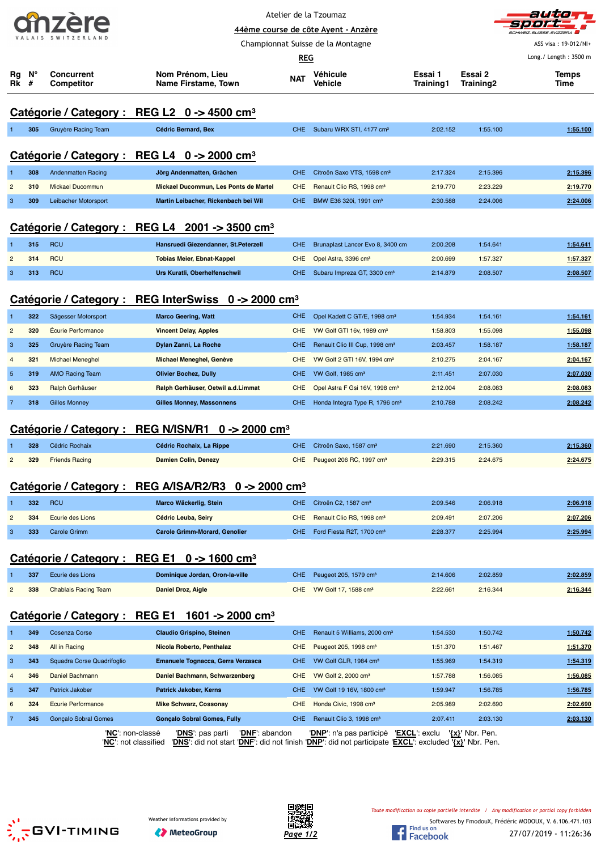|  |  |  |  | 41 12              |  |  |  |  |  |
|--|--|--|--|--------------------|--|--|--|--|--|
|  |  |  |  | VALAIS SWITZERLAND |  |  |  |  |  |



Championnat Suisse de la Montagne

ASS visa : 19-012/NI+

|          |                  |                                        |                                                         | <b>REG</b> |                                          |                      |                      | Long./ Length: 3500 m |
|----------|------------------|----------------------------------------|---------------------------------------------------------|------------|------------------------------------------|----------------------|----------------------|-----------------------|
| Rq<br>Rk | $N^{\circ}$<br># | <b>Concurrent</b><br><b>Competitor</b> | Nom Prénom, Lieu<br>Name Firstame, Town                 | <b>NAT</b> | Véhicule<br>Vehicle                      | Essai 1<br>Training1 | Essai 2<br>Training2 | <b>Temps</b><br>Time  |
|          |                  |                                        | Catégorie / Category : REG L2 0 -> 4500 cm <sup>3</sup> |            |                                          |                      |                      |                       |
|          | 305              | Gruyère Racing Team                    | Cédric Bernard, Bex                                     |            | CHE Subaru WRX STI, 4177 cm <sup>3</sup> | 2:02.152             | 1:55.100             | 1:55.100              |

#### **Catégorie / Category : REG L4 0 -> 2000 cm³**

| 308 | Andenmatten Racing   | Jörg Andenmatten, Grächen             | CHE Citroën Saxo VTS, 1598 cm <sup>3</sup> | 2:17.324 | 2:15.396 | 2:15.396 |
|-----|----------------------|---------------------------------------|--------------------------------------------|----------|----------|----------|
| 310 | Mickael Ducommun     | Mickael Ducommun, Les Ponts de Martel | CHE Renault Clio RS, 1998 cm <sup>3</sup>  | 2:19.770 | 2:23.229 | 2:19.770 |
| 309 | Leibacher Motorsport | Martin Leibacher, Rickenbach bei Wil  | CHE BMW E36 320i, 1991 cm <sup>3</sup>     | 2:30.588 | 2:24.006 | 2:24.006 |

#### **Catégorie / Category : REG L4 2001 -> 3500 cm³**

| 315 | <b>RCU</b> | Hansruedi Giezendanner, St.Peterzell | CHE Brunaplast Lancer Evo 8, 3400 cm        | 2:00.208 | 1:54.641 | 1:54.641 |
|-----|------------|--------------------------------------|---------------------------------------------|----------|----------|----------|
| 314 | <b>RCU</b> | <b>Tobias Meier, Ebnat-Kappel</b>    | CHE Opel Astra, 3396 cm <sup>3</sup>        | 2:00.699 | 1:57.327 | 1:57.327 |
| 313 | <b>RCU</b> | Urs Kuratli, Oberhelfenschwil        | CHE Subaru Impreza GT, 3300 cm <sup>3</sup> | 2:14.879 | 2:08.507 | 2:08.507 |

# **Catégorie / Category : REG InterSwiss 0 -> 2000 cm³**

| CHE.<br>322<br>Opel Kadett C GT/E, 1998 cm <sup>3</sup><br>Sägesser Motorsport<br><b>Marco Geering, Watt</b><br>1:54.934<br>320<br><b>Écurie Performance</b><br>$\overline{2}$<br>VW Golf GTI 16v, 1989 cm <sup>3</sup><br><b>Vincent Delay, Apples</b><br>CHE.<br>1:58.803 | 1:54.161<br>1:54.161<br>1:55.098<br>1:55.098 |
|-----------------------------------------------------------------------------------------------------------------------------------------------------------------------------------------------------------------------------------------------------------------------------|----------------------------------------------|
|                                                                                                                                                                                                                                                                             |                                              |
|                                                                                                                                                                                                                                                                             |                                              |
| 325<br>3<br>Renault Clio III Cup, 1998 cm <sup>3</sup><br>Gruyère Racing Team<br>Dylan Zanni, La Roche<br>2:03.457<br>CHE.                                                                                                                                                  | 1:58.187<br>1:58.187                         |
| 321<br>VW Golf 2 GTI 16V, 1994 cm <sup>3</sup><br><b>Michael Meneghel</b><br>Michael Meneghel, Genève<br>2:10.275<br>$\overline{4}$<br>CHE.                                                                                                                                 | 2:04.167<br>2:04.167                         |
| 319<br>$5^{\circ}$<br>AMO Racing Team<br><b>Olivier Bochez, Dully</b><br>VW Golf, 1985 cm <sup>3</sup><br>CHE.<br>2:11.451                                                                                                                                                  | 2:07.030<br>2:07.030                         |
| 323<br>6<br>Opel Astra F Gsi 16V, 1998 cm <sup>3</sup><br>Ralph Gerhäuser<br>Ralph Gerhäuser, Oetwil a.d. Limmat<br>2:12.004<br>CHE.                                                                                                                                        | 2:08.083<br>2:08.083                         |
| 318<br><b>Gilles Monney</b><br>Honda Integra Type R, 1796 cm <sup>3</sup><br>2:10.788<br><b>Gilles Monney, Massonnens</b><br><b>CHE</b>                                                                                                                                     | 2:08.242<br>2:08.242                         |

#### **Catégorie / Category : REG N/ISN/R1 0 -> 2000 cm³**

| 328   | Cédric Rochaix        | Cédric Rochaix, La Rippe | CHE Citroën Saxo, 1587 cm <sup>3</sup>   | 2:21.690 | 2:15.360 | 2:15.360            |
|-------|-----------------------|--------------------------|------------------------------------------|----------|----------|---------------------|
| 2 329 | <b>Friends Racing</b> | Damien Colin, Denezy     | CHE Peugeot 206 RC, 1997 cm <sup>3</sup> | 2:29.315 | 2:24.675 | 2:24.675<br>_______ |

#### **Catégorie / Category : REG A/ISA/R2/R3 0 -> 2000 cm³**

| 332 | RCU              | Marco Wäckerlig, Stein               | CHE Citroën C2, 1587 cm <sup>3</sup>      | 2:09.546 | 2:06.918 | 2:06.918 |
|-----|------------------|--------------------------------------|-------------------------------------------|----------|----------|----------|
| 334 | Ecurie des Lions | Cédric Leuba, Seiry                  | CHE Renault Clio RS, 1998 cm <sup>3</sup> | 2:09.491 | 2:07.206 | 2:07.206 |
| 333 | Carole Grimm     | <b>Carole Grimm-Morard, Genolier</b> | CHE Ford Fiesta R2T, 1700 cm <sup>3</sup> | 2:28.377 | 2:25.994 | 2:25.994 |

#### **Catégorie / Category : REG E1 0 -> 1600 cm³**

| 337 | Ecurie des Lions         | Dominique Jordan, Oron-la-ville | CHE Peugeot 205, 1579 cm <sup>3</sup> | 2:14.606 | 2:02.859 | 2:02.859 |
|-----|--------------------------|---------------------------------|---------------------------------------|----------|----------|----------|
|     | 338 Chablais Racing Team | Daniel Droz, Aigle              | CHE VW Golf 17, 1588 cm <sup>3</sup>  | 2:22.661 | 2:16.344 | 2:16.344 |

## **Catégorie / Category : REG E1 1601 -> 2000 cm³**

|                | 349 | Cosenza Corse                                                                                                                                                                                                                                                                                                                      | <b>Claudio Grispino, Steinen</b>   | <b>CHE</b> | Renault 5 Williams, 2000 cm <sup>3</sup>                                                                       | 1:54.530 | 1:50.742 | 1:50.742 |
|----------------|-----|------------------------------------------------------------------------------------------------------------------------------------------------------------------------------------------------------------------------------------------------------------------------------------------------------------------------------------|------------------------------------|------------|----------------------------------------------------------------------------------------------------------------|----------|----------|----------|
| $\overline{2}$ | 348 | All in Racing                                                                                                                                                                                                                                                                                                                      | Nicola Roberto, Penthalaz          | CHE.       | Peugeot 205, 1998 cm <sup>3</sup>                                                                              | 1:51.370 | 1:51.467 | 1.51.370 |
| 3              | 343 | Squadra Corse Quadrifoglio                                                                                                                                                                                                                                                                                                         | Emanuele Tognacca, Gerra Verzasca  | CHE        | VW Golf GLR, 1984 cm <sup>3</sup>                                                                              | 1:55.969 | 1:54.319 | 1:54.319 |
| $\overline{4}$ | 346 | Daniel Bachmann                                                                                                                                                                                                                                                                                                                    | Daniel Bachmann, Schwarzenberg     | CHE        | VW Golf 2, 2000 cm <sup>3</sup>                                                                                | 1:57.788 | 1:56.085 | 1:56.085 |
| 5 <sup>1</sup> | 347 | Patrick Jakober                                                                                                                                                                                                                                                                                                                    | <b>Patrick Jakober, Kerns</b>      | CHE        | VW Golf 19 16V, 1800 cm <sup>3</sup>                                                                           | 1:59.947 | 1:56.785 | 1:56.785 |
| 6              | 324 | Ecurie Performance                                                                                                                                                                                                                                                                                                                 | <b>Mike Schwarz, Cossonav</b>      | <b>CHE</b> | Honda Civic, 1998 cm <sup>3</sup>                                                                              | 2:05.989 | 2:02.690 | 2:02.690 |
|                | 345 | <b>Goncalo Sobral Gomes</b>                                                                                                                                                                                                                                                                                                        | <b>Goncalo Sobral Gomes, Fully</b> | <b>CHE</b> | Renault Clio 3, 1998 cm <sup>3</sup>                                                                           | 2:07.411 | 2:03.130 | 2:03.130 |
|                |     | $\mathbf{B}$ $\mathbf{D}$ $\mathbf{D}$ $\mathbf{D}$ $\mathbf{D}$ $\mathbf{D}$ $\mathbf{D}$ $\mathbf{D}$ $\mathbf{D}$ $\mathbf{D}$ $\mathbf{D}$ $\mathbf{D}$ $\mathbf{D}$ $\mathbf{D}$ $\mathbf{D}$ $\mathbf{D}$ $\mathbf{D}$ $\mathbf{D}$ $\mathbf{D}$ $\mathbf{D}$ $\mathbf{D}$ $\mathbf{D}$ $\mathbf{D}$ $\mathbf{D}$ $\mathbf{$ | <b>INVESTIGATION</b>               |            | <b>IBAIB</b> to the serve of second and a transfer of <b>IRAL ALLA</b> IB and the Black of <b>Bailes Black</b> |          |          |          |

'**NC**': non-classé '**DNS**': pas parti '**DNF**': abandon '**DNP**': n'a pas participé '**EXCL**': exclu **'{x}'** Nbr. Pen. '**NC**': not classified '**DNS**': did not start '**DNF**': did not finish '**DNP**': did not participate '**EXCL**': excluded **'{x}'** Nbr. Pen.